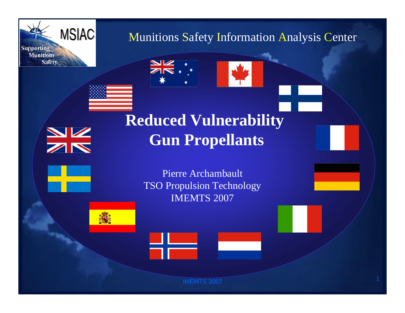

Munitions Safety Information Analysis Center



# **Reduced Vulnerability Gun Propellants**

 $\frac{\Delta}{\Delta}$ 

Pierre Archambault TSO Propulsion Technology IMEMTS 2007



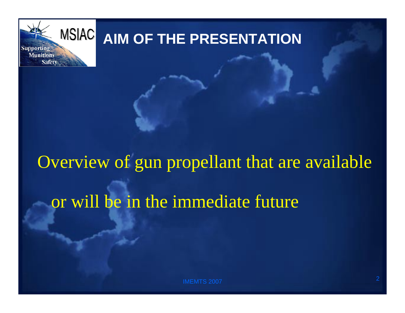

# **AIM OF THE PRESENTATION**

# Overview of gun propellant that are available or will be in the immediate future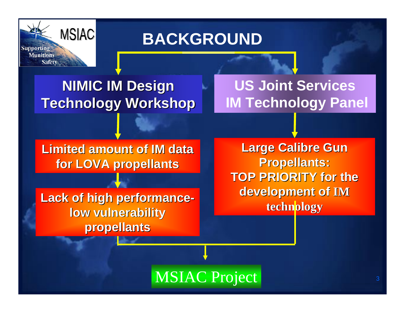

### **BACKGROUND**

### **NIMIC IM Design Technology Workshop**

### **US Joint Services IM Technology Panel**

**Limited amount of IM data for LOVA propellants for LOVA propellants**

Lack of high performance**low vulnerability propellants propellants**

**Large Calibre Gun Propellants: Propellants: TOP PRIORITY for the development of development of IM technology technology**

MSIAC Project and the state of the state of the state of the state of the state of the state of the state of the state of the state of the state of the state of the state of the state of the state of the state of the state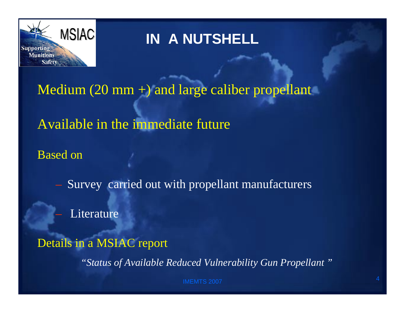

### **IN A NUTSHELL**

#### Medium (20 mm +) and large caliber propellant

#### Available in the immediate future

Based on

- Survey carried out with propellant manufacturers
- Literature
- Details in a MSIAC report

*"Status of Available Reduced Vulnerability Gun Propellant "*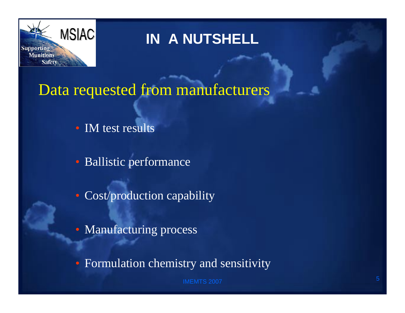

### **IN A NUTSHELL**

Data requested from manufacturers

• IM test results

• Ballistic performance

• Cost/production capability

• Manufacturing process

• Formulation chemistry and sensitivity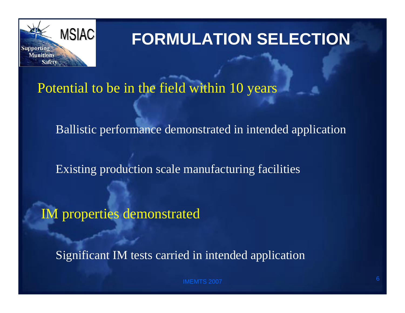

# **FORMULATION SELECTION**

Potential to be in the field within 10 years

Ballistic performance demonstrated in intended application

Existing production scale manufacturing facilities

IM properties demonstrated

Significant IM tests carried in intended application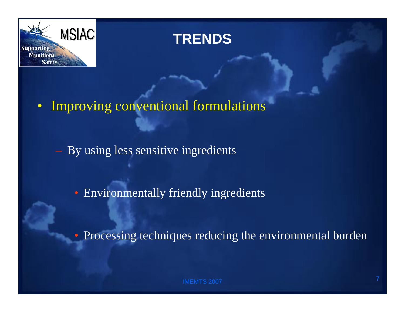

#### **TRENDS**

#### • Improving conventional formulations

– By using less sensitive ingredients

• Environmentally friendly ingredients

• Processing techniques reducing the environmental burden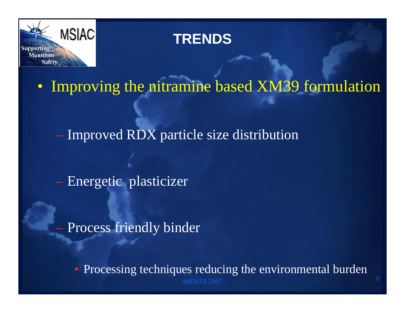

#### **TRENDS**

• Improving the nitramine based XM39 formulation

– Improved RDX particle size distribution

– Energetic plasticizer

Process friendly binder

 $\overline{7}$  , and the contract of the contract of the contract of the contract of the contract of the contract of the contract of the contract of the contract of the contract of the contract of the contract of the contract o • Processing techniques reducing the environmental burden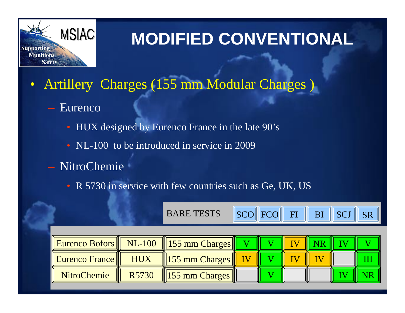

- Artillery Charges (155 mm Modular Charges )
	- Eurenco
		- HUX designed by Eurenco France in the late 90's
		- NL-100 to be introduced in service in 2009
	- NitroChemie
		- R 5730 in service with few countries such as Ge, UK, US

|                       |            | <b>BARE TESTS</b>                          |           |  | SCO FCO FI BI SCJ | SR <sup>I</sup> |
|-----------------------|------------|--------------------------------------------|-----------|--|-------------------|-----------------|
|                       |            |                                            |           |  |                   |                 |
|                       |            | Eurenco Bofors    NL-100    155 mm Charges |           |  |                   |                 |
| <b>Eurenco France</b> | <b>HUX</b> | 155 mm Charges                             | <b>IV</b> |  |                   |                 |
| <b>NitroChemie</b>    | R5730      | 155 mm Charges                             |           |  |                   |                 |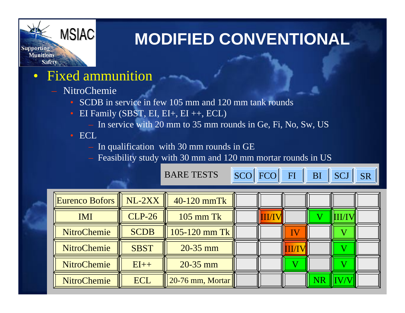

- Fixed ammunition
	- NitroChemie
		- SCDB in service in few 105 mm and 120 mm tank rounds
		- EI Family (SBST, EI, EI+, EI ++, ECL)
			- In service with 20 mm to 35 mm rounds in Ge, Fi, No, Sw, US
		- ECL
			- In qualification with 30 mm rounds in GE
			- Feasibility study with 30 mm and 120 mm mortar rounds in US

**BARE T** 

| ESTS | <b>SCO</b> |
|------|------------|
|------|------------|

FCO FI BI SCJ SR

| Eurenco Bofors     | $NL-2XX$      | 40-120 mmTk        |  |            |  |  |
|--------------------|---------------|--------------------|--|------------|--|--|
| <b>IMI</b>         | <b>CLP-26</b> | $105$ mm Tk        |  |            |  |  |
| <b>NitroChemie</b> | <b>SCDB</b>   | 105-120 mm Tk      |  |            |  |  |
| <b>NitroChemie</b> | <b>SBST</b>   | $20 - 35$ mm       |  | <b>THT</b> |  |  |
| <b>NitroChemie</b> | $EI++$        | $20 - 35$ mm       |  |            |  |  |
| <b>NitroChemie</b> | <b>ECL</b>    | $20-76$ mm, Mortar |  |            |  |  |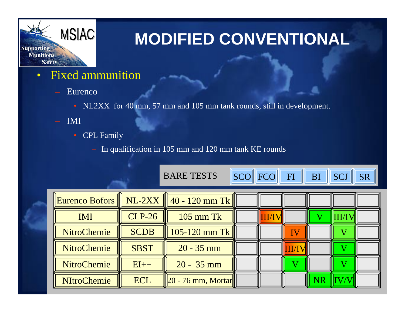

- Fixed ammunition
	- Eurenco
		- NL2XX for 40 mm, 57 mm and 105 mm tank rounds, still in development.
	- IMI
		- CPL Family

In qualification in 105 mm and 120 mm tank KE rounds

BARE TESTS

**SCO** 

FCO FI BI SCJ SR

|                    |               | Eurenco Bofors $\  \ \text{NL-2XX} \ $ 40 - 120 mm Tk |  |  |  |
|--------------------|---------------|-------------------------------------------------------|--|--|--|
| <b>IMI</b>         | <b>CLP-26</b> | $105$ mm Tk                                           |  |  |  |
| <b>NitroChemie</b> | <b>SCDB</b>   | 105-120 mm Tk                                         |  |  |  |
| <b>NitroChemie</b> | <b>SBST</b>   | $20 - 35$ mm                                          |  |  |  |
| <b>NitroChemie</b> | $EI++$        | $20 - 35$ mm                                          |  |  |  |
| <b>NItroChemie</b> | <b>ECL</b>    | $ 20 - 76$ mm, Mortar                                 |  |  |  |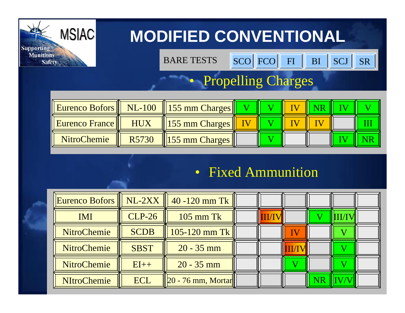

BARE TESTS

S SCO FCO FI BI SCJ SR

#### • Propelling Charges

|                       |                   | <b>Eurenco Bofors</b>    NL-100    155 mm Charges |  |  |  |
|-----------------------|-------------------|---------------------------------------------------|--|--|--|
| <b>Eurenco France</b> | HUX               | $\left\vert \right\vert$ 155 mm Charges           |  |  |  |
| <b>NitroChemie</b>    | R <sub>5730</sub> | $\left  \right $ 155 mm Charges                   |  |  |  |

#### • Fixed Ammunition

| Eurenco Bofors     | NL-2XX      | $40 - 120$ mm Tk      |  |  |  |
|--------------------|-------------|-----------------------|--|--|--|
| <b>IMI</b>         | $CLP-26$    | $105$ mm Tk           |  |  |  |
| <b>NitroChemie</b> | <b>SCDB</b> | 105-120 mm Tk         |  |  |  |
| <b>NitroChemie</b> | <b>SBST</b> | $20 - 35$ mm          |  |  |  |
| <b>NitroChemie</b> | $EI++$      | $20 - 35$ mm          |  |  |  |
| <b>NItroChemie</b> | <b>ECL</b>  | $ 20 - 76$ mm, Mortar |  |  |  |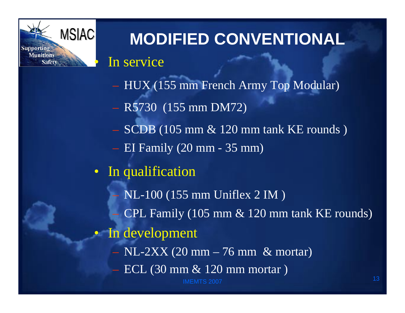

In service

- HUX (155 mm French Army Top Modular)
- R5730 (155 mm DM72)
- $-$  SCDB (105 mm  $\&$  120 mm tank KE rounds)
- EI Family (20 mm 35 mm)
- In qualification

 $\overline{7}$  , and the contract of the contract of the contract of the contract of the contract of the contract of the contract of the contract of the contract of the contract of the contract of the contract of the contract o – NL-100 (155 mm Uniflex 2 IM ) – CPL Family (105 mm & 120 mm tank KE rounds) In development  $-$  NL-2XX (20 mm  $-$  76 mm & mortar) – ECL (30 mm & 120 mm mortar )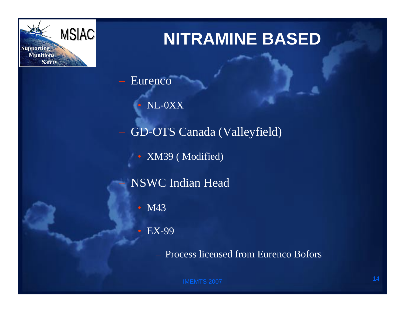

– Eurenco

• NL-0XX

– GD-OTS Canada (Valleyfield)

• XM39 (Modified)

– NSWC Indian Head

• M43

• EX-99

– Process licensed from Eurenco Bofors

IMEMTS 2007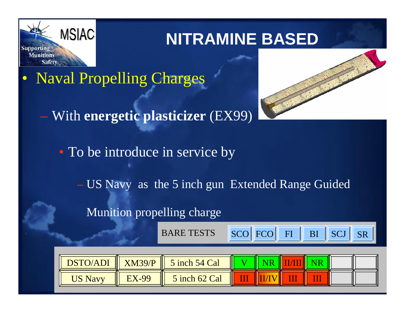

• Naval Propelling Charges – With **energetic plasticizer** (EX99) • To be introduce in service by – US Navy as the 5 inch gun Extended Range Guided Munition propelling charge FCO FI BI SCJ SR

BARE TESTS

**SCO** 

| <b>DSTO/ADI</b> | XM39/P       | 5 inch 54 Cal |  |  |  |
|-----------------|--------------|---------------|--|--|--|
| <b>US Navy</b>  | <b>EX-99</b> | 5 inch 62 Cal |  |  |  |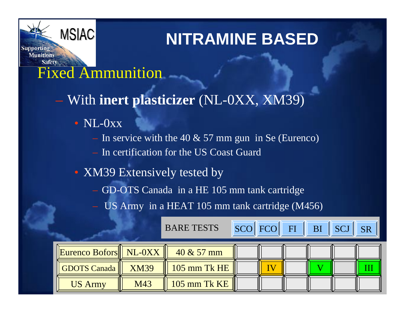Fixed Ammunition

**MSIAC** 

**Supporting Munitions** 

**Safety** 

– With **inert plasticizer** (NL-0XX, XM39)

- NL-0xx
	- In service with the 40  $& 57$  mm gun in Se (Eurenco)
	- In certification for the US Coast Guard
- XM39 Extensively tested by
	- GD-OTS Canada in a HE 105 mm tank cartridge
	- US Army in a HEAT 105 mm tank cartridge (M456)

|                                                              | <b>BARE TESTS</b> |                       |  |  | SCO FCO FI BI SCJ SR |  |
|--------------------------------------------------------------|-------------------|-----------------------|--|--|----------------------|--|
| $\vert$ Eurenco Bofors $\vert\vert$ NL-0XX $\vert\vert\vert$ |                   | $40 \& 57 \text{ mm}$ |  |  |                      |  |
| GDOTS Canada                                                 | <b>XM39</b>       | 105 mm Tk HE          |  |  |                      |  |
| <b>US Army</b>                                               | M43               | 105 mm Tk KE          |  |  |                      |  |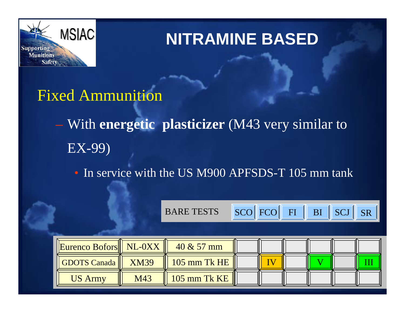

#### Fixed Ammunition

- With **energetic plasticizer** (M43 very similar to EX-99)
	- In service with the US M900 APFSDS-T 105 mm tank

BARE TESTS SCO

|  | <b>SCOLECO</b> |  |
|--|----------------|--|
|--|----------------|--|





| <b>Eurenco Bofors</b> NL-0XX |     | $40 \& 57 \text{ mm}$ |  |  |  |
|------------------------------|-----|-----------------------|--|--|--|
| GDOTS Canada    XM39         |     | $105$ mm Tk HE        |  |  |  |
| <b>US Army</b>               | M43 | $105$ mm Tk KE        |  |  |  |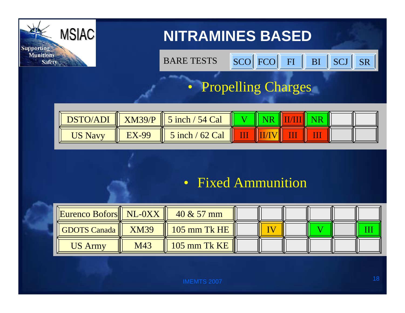

BARE TESTSS SCOIFCO FIIBISCULSR

#### • Propelling Charges



#### • Fixed Ammunition

| Eurenco Bofors   NL-0XX |     | $40 \& 57 \text{ mm}$ |  |  |  |
|-------------------------|-----|-----------------------|--|--|--|
| GDOTS Canada    XM39    |     | $105$ mm Tk HE        |  |  |  |
| <b>US Army</b>          | M43 | $105$ mm Tk KE        |  |  |  |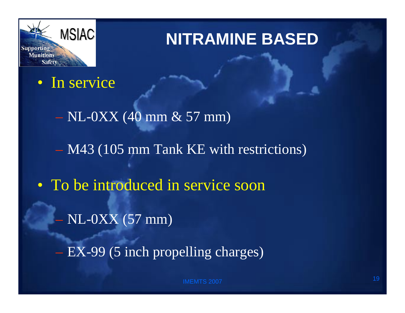

#### • In service

- $-$  NL-0XX (40 mm  $\&$  57 mm) – M43 (105 mm Tank KE with restrictions) • To be introduced in service soon – NL-0XX (57 mm)
	- EX-99 (5 inch propelling charges)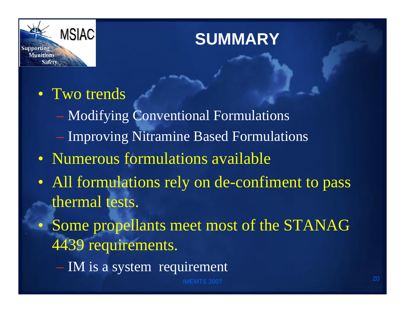

# **SUMMARY**

#### • Two trends

- Modifying Conventional Formulations
- Improving Nitramine Based Formulations
- Numerous formulations available
- All formulations rely on de-confiment to pass thermal tests.
- Some propellants meet most of the STANAG 4439 requirements.
	- IM is a system requirement